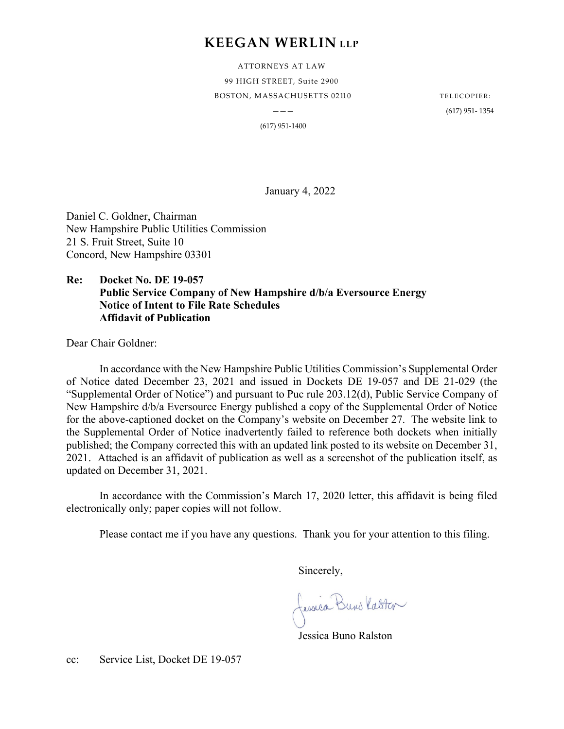# **KEEGAN WERLIN LLP**

ATTORNEYS AT LAW 99 HIGH STREET, Suite 2900 BOSTON, MASSACHUSETTS 02110 TELECOPIER:

 $---$  (617) 951- 1354

(617) 951-1400

January 4, 2022

Daniel C. Goldner, Chairman New Hampshire Public Utilities Commission 21 S. Fruit Street, Suite 10 Concord, New Hampshire 03301

### **Re: Docket No. DE 19-057 Public Service Company of New Hampshire d/b/a Eversource Energy Notice of Intent to File Rate Schedules Affidavit of Publication**

Dear Chair Goldner:

In accordance with the New Hampshire Public Utilities Commission's Supplemental Order of Notice dated December 23, 2021 and issued in Dockets DE 19-057 and DE 21-029 (the "Supplemental Order of Notice") and pursuant to Puc rule 203.12(d), Public Service Company of New Hampshire d/b/a Eversource Energy published a copy of the Supplemental Order of Notice for the above-captioned docket on the Company's website on December 27. The website link to the Supplemental Order of Notice inadvertently failed to reference both dockets when initially published; the Company corrected this with an updated link posted to its website on December 31, 2021. Attached is an affidavit of publication as well as a screenshot of the publication itself, as updated on December 31, 2021.

In accordance with the Commission's March 17, 2020 letter, this affidavit is being filed electronically only; paper copies will not follow.

Please contact me if you have any questions. Thank you for your attention to this filing.

Sincerely,

Jessia Buns Katster

Jessica Buno Ralston

cc: Service List, Docket DE 19-057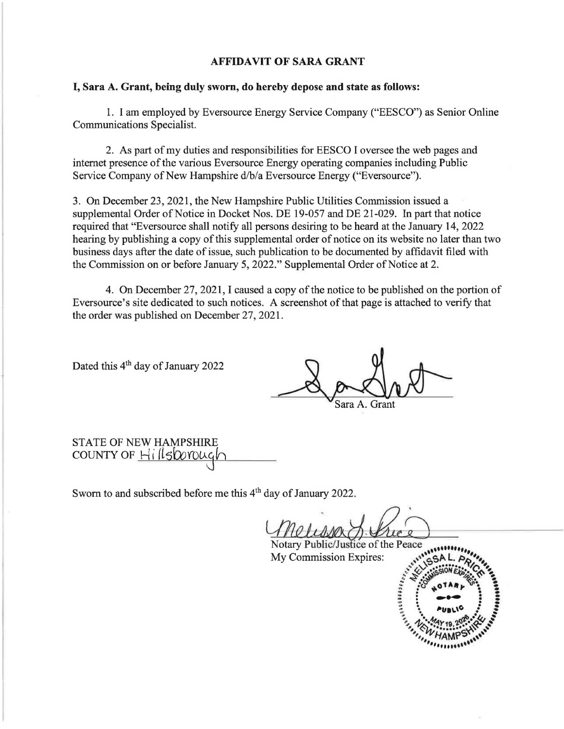#### **AFFIDAVIT OF SARA GRANT**

#### I, **Sara A. Grant, being duly sworn, do hereby depose and state as follows:**

1. I am employed by Eversource Energy Service Company ("BESCO") as Senior Online Communications Specialist.

2. As part of my duties and responsibilities for BESCO I oversee the web pages and internet presence of the various Eversource Energy operating companies including Public Service Company of New Hampshire d/b/a Eversource Energy ("Eversource").

3. On December 23, 2021, the New Hampshire Public Utilities Commission issued a supplemental Order of Notice in Docket Nos. DE 19-057 and DE 21-029. In part that notice required that "Eversource shall notify all persons desiring to be heard at the January 14, 2022 hearing by publishing a copy of this supplemental order of notice on its website no later than two business days after the date of issue, such publication to be documented by affidavit filed with the Commission on or before January 5, 2022." Supplemental Order of Notice at 2.

4. On December 27, 2021, I caused a copy of the notice to be published on the portion of Eversource's site dedicated to such notices. A screenshot of that page is attached to verify that the order was published on December 27, 2021.

Dated this 4<sup>th</sup> day of January 2022

8 or Lot of

STATE OF NEW HAMPSHIRE COUNTY OF Hillsborough

Sworn to and subscribed before me this 4<sup>th</sup> day of January 2022.

day of January 2022.

Notary Public/Justice of the Peace My Commission Expires: